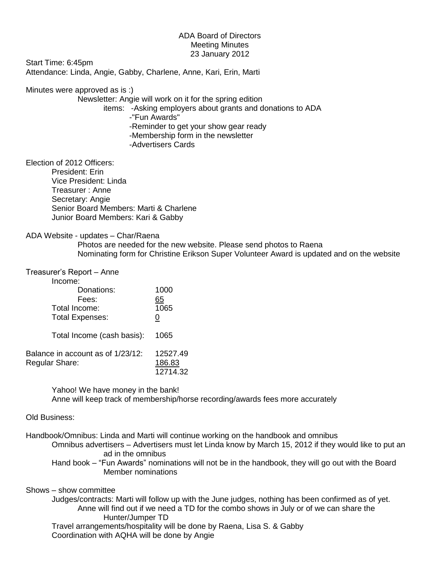## ADA Board of Directors Meeting Minutes 23 January 2012

Start Time: 6:45pm Attendance: Linda, Angie, Gabby, Charlene, Anne, Kari, Erin, Marti

Minutes were approved as is :)

Newsletter: Angie will work on it for the spring edition

items: -Asking employers about grants and donations to ADA

-"Fun Awards"

-Reminder to get your show gear ready

-Membership form in the newsletter

-Advertisers Cards

Election of 2012 Officers:

President: Erin Vice President: Linda Treasurer : Anne Secretary: Angie Senior Board Members: Marti & Charlene Junior Board Members: Kari & Gabby

## ADA Website - updates – Char/Raena

Photos are needed for the new website. Please send photos to Raena Nominating form for Christine Erikson Super Volunteer Award is updated and on the website

## Treasurer's Report – Anne

| Income:                                             |                            |          |
|-----------------------------------------------------|----------------------------|----------|
|                                                     | Donations:                 | 1000     |
| Fees:                                               |                            | 65       |
| Total Income:                                       |                            | 1065     |
| <b>Total Expenses:</b>                              |                            | 0        |
|                                                     | Total Income (cash basis): | 1065     |
| Balance in account as of 1/23/12:<br>Regular Share: |                            | 12527.49 |
|                                                     |                            | 186.83   |
|                                                     |                            | 12714.32 |

Yahoo! We have money in the bank! Anne will keep track of membership/horse recording/awards fees more accurately

## Old Business:

Handbook/Omnibus: Linda and Marti will continue working on the handbook and omnibus

Omnibus advertisers – Advertisers must let Linda know by March 15, 2012 if they would like to put an ad in the omnibus

Hand book – "Fun Awards" nominations will not be in the handbook, they will go out with the Board Member nominations

Shows – show committee

Judges/contracts: Marti will follow up with the June judges, nothing has been confirmed as of yet. Anne will find out if we need a TD for the combo shows in July or of we can share the Hunter/Jumper TD Travel arrangements/hospitality will be done by Raena, Lisa S. & Gabby

Coordination with AQHA will be done by Angie